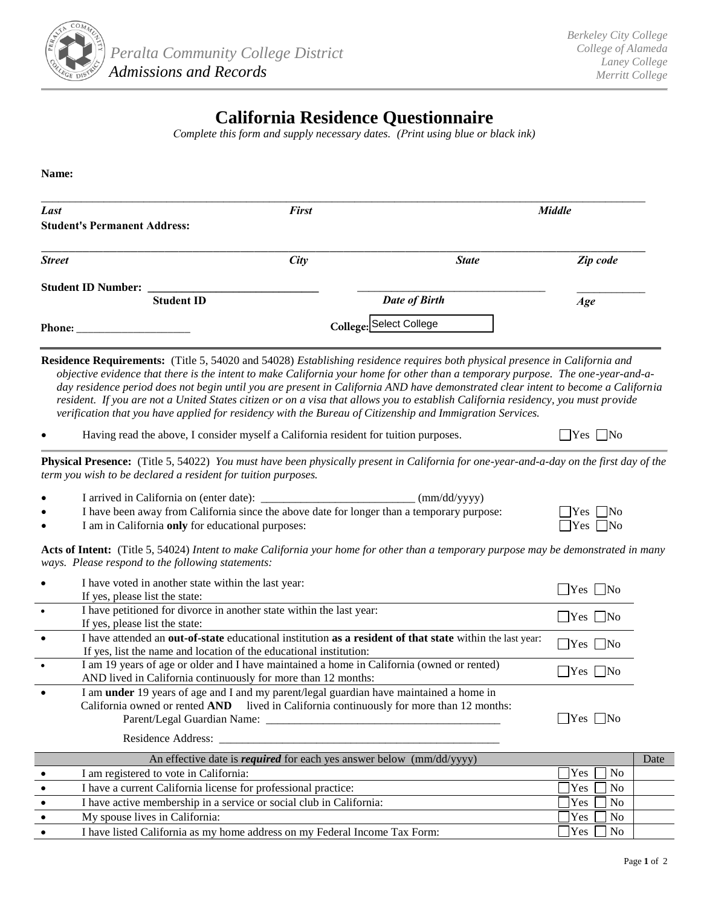

## **California Residence Questionnaire**

*Complete this form and supply necessary dates. (Print using blue or black ink)*

**Name:**

| Last                                        | <b>First</b> | <b>Middle</b>           |          |
|---------------------------------------------|--------------|-------------------------|----------|
| <b>Student's Permanent Address:</b>         |              |                         |          |
| <b>Street</b>                               | City         | <b>State</b>            | Zip code |
| <b>Student ID Number:</b>                   |              |                         |          |
| <b>Student ID</b>                           |              | <b>Date of Birth</b>    | Age      |
| Phone:<br>the control of the control of the |              | College: Select College |          |

**Residence Requirements:** (Title 5, 54020 and 54028) *Establishing residence requires both physical presence in California and objective evidence that there is the intent to make California your home for other than a temporary purpose. The one-year-and-aday residence period does not begin until you are present in California AND have demonstrated clear intent to become a California resident. If you are not a United States citizen or on a visa that allows you to establish California residency, you must provide verification that you have applied for residency with the Bureau of Citizenship and Immigration Services.* 

|  |  |  | Having read the above, I consider myself a California resident for tuition purposes. | $\Box$ Yes $\Box$ No |
|--|--|--|--------------------------------------------------------------------------------------|----------------------|
|--|--|--|--------------------------------------------------------------------------------------|----------------------|

**Physical Presence:** (Title 5, 54022) *You must have been physically present in California for one-year-and-a-day on the first day of the term you wish to be declared a resident for tuition purposes.* 

|  | I arrived in California on (enter date): | $\text{(mm/dd/vvvv)}$ |
|--|------------------------------------------|-----------------------|
|--|------------------------------------------|-----------------------|

I have been away from California since the above date for longer than a temporary purpose:  $\Box$  Yes  $\Box$  No

I am in California **only** for educational purposes:  $\Box$  Yes  $\Box$  Yes  $\Box$  No

**Acts of Intent:** (Title 5, 54024) *Intent to make California your home for other than a temporary purpose may be demonstrated in many ways. Please respond to the following statements:* 

|           | I have voted in another state within the last year:<br>If yes, please list the state:                                                                                                      | $Yes \mid No$                |      |
|-----------|--------------------------------------------------------------------------------------------------------------------------------------------------------------------------------------------|------------------------------|------|
|           | I have petitioned for divorce in another state within the last year:<br>If yes, please list the state:                                                                                     | $Yes \mid No$                |      |
| $\bullet$ | I have attended an out-of-state educational institution as a resident of that state within the last year:<br>If yes, list the name and location of the educational institution:            | $\Box$ Yes $\Box$ No         |      |
|           | I am 19 years of age or older and I have maintained a home in California (owned or rented)<br>AND lived in California continuously for more than 12 months:                                | $Yes \mid No$                |      |
| $\bullet$ | I am <b>under</b> 19 years of age and I and my parent/legal guardian have maintained a home in<br>California owned or rented AND lived in California continuously for more than 12 months: | $\bigcap$ Yes $\bigcap$ No   |      |
|           | An effective date is <i>required</i> for each yes answer below (mm/dd/yyyy)                                                                                                                |                              | Date |
|           | I am registered to vote in California:                                                                                                                                                     | <b>Yes</b><br>N <sub>o</sub> |      |
| $\bullet$ | I have a current California license for professional practice:                                                                                                                             | N <sub>0</sub><br><b>Yes</b> |      |
| $\bullet$ | I have active membership in a service or social club in California:                                                                                                                        | N <sub>0</sub><br><b>Yes</b> |      |
|           | My spouse lives in California:                                                                                                                                                             | Yes<br>N <sub>0</sub>        |      |